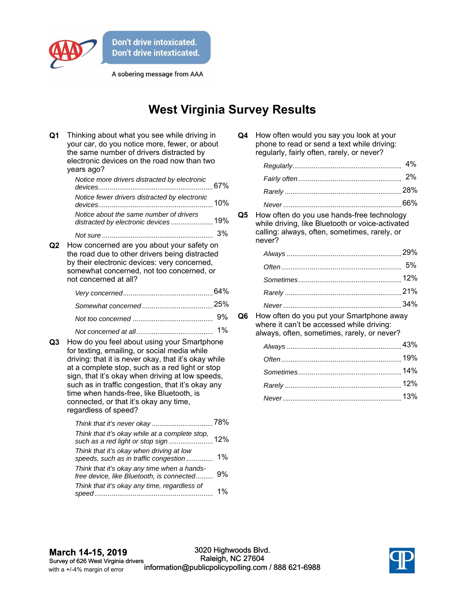

A sobering message from AAA

## **West Virginia Survey Results**

| Q <sub>1</sub> | Thinking about what you see while driving in<br>your car, do you notice more, fewer, or about<br>the same number of drivers distracted by<br>electronic devices on the road now than two<br>years ago?                                                                                                                                                                                                                              |    |
|----------------|-------------------------------------------------------------------------------------------------------------------------------------------------------------------------------------------------------------------------------------------------------------------------------------------------------------------------------------------------------------------------------------------------------------------------------------|----|
|                | Notice more drivers distracted by electronic                                                                                                                                                                                                                                                                                                                                                                                        |    |
|                | Notice fewer drivers distracted by electronic                                                                                                                                                                                                                                                                                                                                                                                       |    |
|                | Notice about the same number of drivers<br>distracted by electronic devices 19%                                                                                                                                                                                                                                                                                                                                                     |    |
|                |                                                                                                                                                                                                                                                                                                                                                                                                                                     | 3% |
| Q2             | How concerned are you about your safety on<br>the road due to other drivers being distracted<br>by their electronic devices: very concerned,<br>somewhat concerned, not too concerned, or<br>not concerned at all?                                                                                                                                                                                                                  |    |
|                |                                                                                                                                                                                                                                                                                                                                                                                                                                     |    |
|                |                                                                                                                                                                                                                                                                                                                                                                                                                                     |    |
|                |                                                                                                                                                                                                                                                                                                                                                                                                                                     | 9% |
| Q3             | 1%<br>How do you feel about using your Smartphone<br>for texting, emailing, or social media while<br>driving: that it is never okay, that it's okay while<br>at a complete stop, such as a red light or stop<br>sign, that it's okay when driving at low speeds,<br>such as in traffic congestion, that it's okay any<br>time when hands-free, like Bluetooth, is<br>connected, or that it's okay any time,<br>regardless of speed? |    |
|                | Think that it's okay while at a complete stop,                                                                                                                                                                                                                                                                                                                                                                                      |    |
|                | Think that it's okay when driving at low<br>speeds, such as in traffic congestion                                                                                                                                                                                                                                                                                                                                                   | 1% |
|                | Think that it's okay any time when a hands-<br>free device, like Bluetooth, is connected                                                                                                                                                                                                                                                                                                                                            | 9% |
|                | Think that it's okay any time, regardless of                                                                                                                                                                                                                                                                                                                                                                                        | 1% |

| Q4 | How often would you say you look at your    |
|----|---------------------------------------------|
|    | phone to read or send a text while driving: |
|    | regularly, fairly often, rarely, or never?  |

**Q5** How often do you use hands-free technology while driving, like Bluetooth or voice-activated calling: always, often, sometimes, rarely, or never?

**Q6** How often do you put your Smartphone away where it can't be accessed while driving: always, often, sometimes, rarely, or never?